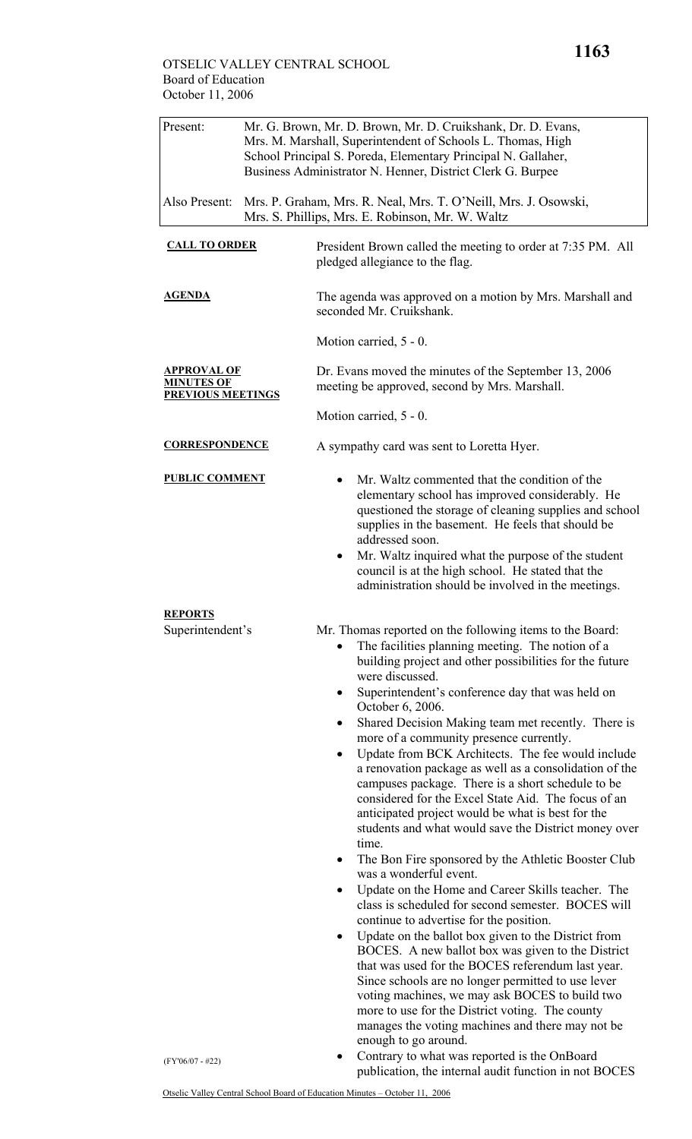| Present:                                                     | Mr. G. Brown, Mr. D. Brown, Mr. D. Cruikshank, Dr. D. Evans,<br>Mrs. M. Marshall, Superintendent of Schools L. Thomas, High<br>School Principal S. Poreda, Elementary Principal N. Gallaher,<br>Business Administrator N. Henner, District Clerk G. Burpee |                                                                                                                                                                                                                                                                                                                                                                                                                                                                                                                                                                                                                                                                                                                                                                                                                                                                                                                                                                                                                                                                                                                                                                                                                                                                                                                                                                                                                              |
|--------------------------------------------------------------|------------------------------------------------------------------------------------------------------------------------------------------------------------------------------------------------------------------------------------------------------------|------------------------------------------------------------------------------------------------------------------------------------------------------------------------------------------------------------------------------------------------------------------------------------------------------------------------------------------------------------------------------------------------------------------------------------------------------------------------------------------------------------------------------------------------------------------------------------------------------------------------------------------------------------------------------------------------------------------------------------------------------------------------------------------------------------------------------------------------------------------------------------------------------------------------------------------------------------------------------------------------------------------------------------------------------------------------------------------------------------------------------------------------------------------------------------------------------------------------------------------------------------------------------------------------------------------------------------------------------------------------------------------------------------------------------|
| Also Present:                                                |                                                                                                                                                                                                                                                            | Mrs. P. Graham, Mrs. R. Neal, Mrs. T. O'Neill, Mrs. J. Osowski,<br>Mrs. S. Phillips, Mrs. E. Robinson, Mr. W. Waltz                                                                                                                                                                                                                                                                                                                                                                                                                                                                                                                                                                                                                                                                                                                                                                                                                                                                                                                                                                                                                                                                                                                                                                                                                                                                                                          |
| <b>CALL TO ORDER</b>                                         |                                                                                                                                                                                                                                                            | President Brown called the meeting to order at 7:35 PM. All<br>pledged allegiance to the flag.                                                                                                                                                                                                                                                                                                                                                                                                                                                                                                                                                                                                                                                                                                                                                                                                                                                                                                                                                                                                                                                                                                                                                                                                                                                                                                                               |
| <b>AGENDA</b>                                                |                                                                                                                                                                                                                                                            | The agenda was approved on a motion by Mrs. Marshall and<br>seconded Mr. Cruikshank.                                                                                                                                                                                                                                                                                                                                                                                                                                                                                                                                                                                                                                                                                                                                                                                                                                                                                                                                                                                                                                                                                                                                                                                                                                                                                                                                         |
|                                                              |                                                                                                                                                                                                                                                            | Motion carried, 5 - 0.                                                                                                                                                                                                                                                                                                                                                                                                                                                                                                                                                                                                                                                                                                                                                                                                                                                                                                                                                                                                                                                                                                                                                                                                                                                                                                                                                                                                       |
| APPROVAL OF<br><b>MINUTES OF</b><br><b>PREVIOUS MEETINGS</b> |                                                                                                                                                                                                                                                            | Dr. Evans moved the minutes of the September 13, 2006<br>meeting be approved, second by Mrs. Marshall.                                                                                                                                                                                                                                                                                                                                                                                                                                                                                                                                                                                                                                                                                                                                                                                                                                                                                                                                                                                                                                                                                                                                                                                                                                                                                                                       |
|                                                              |                                                                                                                                                                                                                                                            | Motion carried, 5 - 0.                                                                                                                                                                                                                                                                                                                                                                                                                                                                                                                                                                                                                                                                                                                                                                                                                                                                                                                                                                                                                                                                                                                                                                                                                                                                                                                                                                                                       |
| <b>CORRESPONDENCE</b>                                        |                                                                                                                                                                                                                                                            | A sympathy card was sent to Loretta Hyer.                                                                                                                                                                                                                                                                                                                                                                                                                                                                                                                                                                                                                                                                                                                                                                                                                                                                                                                                                                                                                                                                                                                                                                                                                                                                                                                                                                                    |
| <b>PUBLIC COMMENT</b>                                        |                                                                                                                                                                                                                                                            | Mr. Waltz commented that the condition of the<br>elementary school has improved considerably. He<br>questioned the storage of cleaning supplies and school<br>supplies in the basement. He feels that should be<br>addressed soon.<br>Mr. Waltz inquired what the purpose of the student<br>$\bullet$<br>council is at the high school. He stated that the<br>administration should be involved in the meetings.                                                                                                                                                                                                                                                                                                                                                                                                                                                                                                                                                                                                                                                                                                                                                                                                                                                                                                                                                                                                             |
| <b>REPORTS</b><br>Superintendent's                           |                                                                                                                                                                                                                                                            | Mr. Thomas reported on the following items to the Board:<br>The facilities planning meeting. The notion of a<br>building project and other possibilities for the future<br>were discussed.<br>Superintendent's conference day that was held on<br>$\bullet$<br>October 6, 2006.<br>Shared Decision Making team met recently. There is<br>$\bullet$<br>more of a community presence currently.<br>Update from BCK Architects. The fee would include<br>$\bullet$<br>a renovation package as well as a consolidation of the<br>campuses package. There is a short schedule to be<br>considered for the Excel State Aid. The focus of an<br>anticipated project would be what is best for the<br>students and what would save the District money over<br>time.<br>The Bon Fire sponsored by the Athletic Booster Club<br>was a wonderful event.<br>Update on the Home and Career Skills teacher. The<br>٠<br>class is scheduled for second semester. BOCES will<br>continue to advertise for the position.<br>Update on the ballot box given to the District from<br>$\bullet$<br>BOCES. A new ballot box was given to the District<br>that was used for the BOCES referendum last year.<br>Since schools are no longer permitted to use lever<br>voting machines, we may ask BOCES to build two<br>more to use for the District voting. The county<br>manages the voting machines and there may not be<br>enough to go around. |
| $(FY'06/07 - #22)$                                           |                                                                                                                                                                                                                                                            | Contrary to what was reported is the OnBoard<br>publication, the internal audit function in not BOCES                                                                                                                                                                                                                                                                                                                                                                                                                                                                                                                                                                                                                                                                                                                                                                                                                                                                                                                                                                                                                                                                                                                                                                                                                                                                                                                        |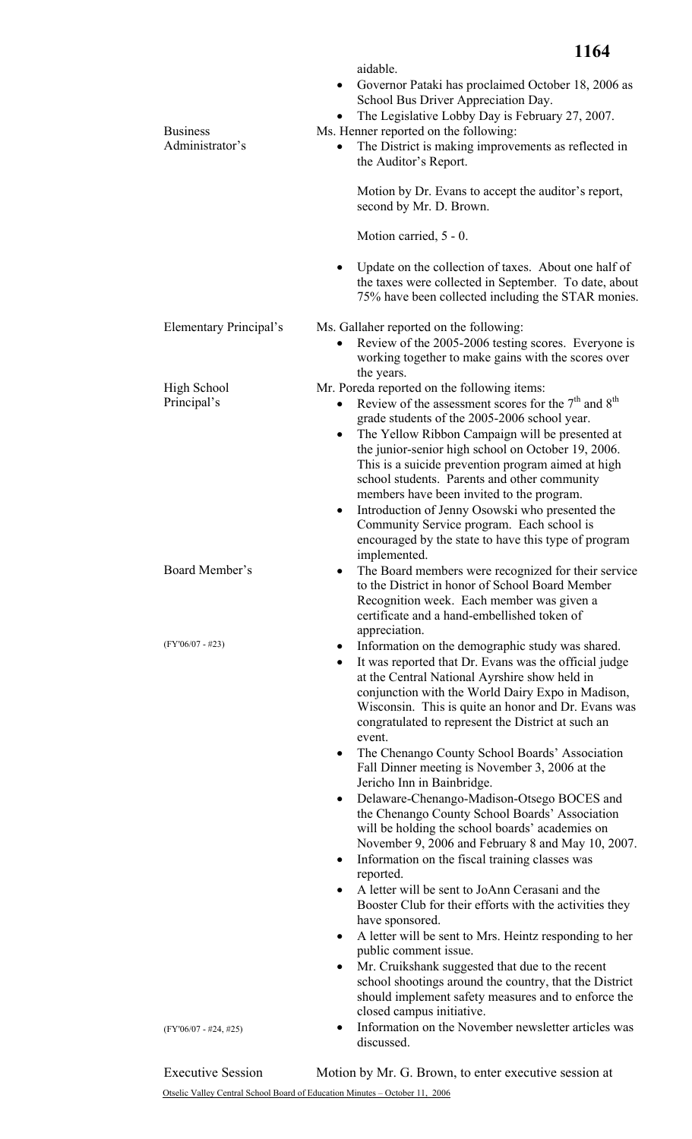| <b>Business</b><br>Administrator's | aidable.<br>Governor Pataki has proclaimed October 18, 2006 as<br>$\bullet$<br>School Bus Driver Appreciation Day.<br>The Legislative Lobby Day is February 27, 2007.<br>Ms. Henner reported on the following:<br>The District is making improvements as reflected in<br>the Auditor's Report.<br>Motion by Dr. Evans to accept the auditor's report,<br>second by Mr. D. Brown.<br>Motion carried, 5 - 0.<br>Update on the collection of taxes. About one half of<br>$\bullet$<br>the taxes were collected in September. To date, about<br>75% have been collected including the STAR monies.                                                                                                                                                                                                                                                                                                                                                                                                                                                                                                                                                                                                                                                               |
|------------------------------------|--------------------------------------------------------------------------------------------------------------------------------------------------------------------------------------------------------------------------------------------------------------------------------------------------------------------------------------------------------------------------------------------------------------------------------------------------------------------------------------------------------------------------------------------------------------------------------------------------------------------------------------------------------------------------------------------------------------------------------------------------------------------------------------------------------------------------------------------------------------------------------------------------------------------------------------------------------------------------------------------------------------------------------------------------------------------------------------------------------------------------------------------------------------------------------------------------------------------------------------------------------------|
| Elementary Principal's             | Ms. Gallaher reported on the following:<br>Review of the 2005-2006 testing scores. Everyone is<br>$\bullet$<br>working together to make gains with the scores over<br>the years.                                                                                                                                                                                                                                                                                                                                                                                                                                                                                                                                                                                                                                                                                                                                                                                                                                                                                                                                                                                                                                                                             |
| <b>High School</b><br>Principal's  | Mr. Poreda reported on the following items:<br>Review of the assessment scores for the $7th$ and $8th$<br>grade students of the 2005-2006 school year.<br>The Yellow Ribbon Campaign will be presented at<br>the junior-senior high school on October 19, 2006.<br>This is a suicide prevention program aimed at high<br>school students. Parents and other community<br>members have been invited to the program.<br>Introduction of Jenny Osowski who presented the<br>$\bullet$<br>Community Service program. Each school is<br>encouraged by the state to have this type of program<br>implemented.                                                                                                                                                                                                                                                                                                                                                                                                                                                                                                                                                                                                                                                      |
| Board Member's                     | The Board members were recognized for their service<br>to the District in honor of School Board Member<br>Recognition week. Each member was given a<br>certificate and a hand-embellished token of<br>appreciation.                                                                                                                                                                                                                                                                                                                                                                                                                                                                                                                                                                                                                                                                                                                                                                                                                                                                                                                                                                                                                                          |
| $(FY'06/07 - #23)$                 | Information on the demographic study was shared.<br>$\bullet$<br>It was reported that Dr. Evans was the official judge<br>$\bullet$<br>at the Central National Ayrshire show held in<br>conjunction with the World Dairy Expo in Madison,<br>Wisconsin. This is quite an honor and Dr. Evans was<br>congratulated to represent the District at such an<br>event.<br>The Chenango County School Boards' Association<br>٠<br>Fall Dinner meeting is November 3, 2006 at the<br>Jericho Inn in Bainbridge.<br>Delaware-Chenango-Madison-Otsego BOCES and<br>$\bullet$<br>the Chenango County School Boards' Association<br>will be holding the school boards' academies on<br>November 9, 2006 and February 8 and May 10, 2007.<br>Information on the fiscal training classes was<br>$\bullet$<br>reported.<br>A letter will be sent to JoAnn Cerasani and the<br>$\bullet$<br>Booster Club for their efforts with the activities they<br>have sponsored.<br>A letter will be sent to Mrs. Heintz responding to her<br>٠<br>public comment issue.<br>Mr. Cruikshank suggested that due to the recent<br>$\bullet$<br>school shootings around the country, that the District<br>should implement safety measures and to enforce the<br>closed campus initiative. |
| $(FY'06/07 - #24, #25)$            | Information on the November newsletter articles was<br>$\bullet$<br>discussed.                                                                                                                                                                                                                                                                                                                                                                                                                                                                                                                                                                                                                                                                                                                                                                                                                                                                                                                                                                                                                                                                                                                                                                               |

Otselic Valley Central School Board of Education Minutes – October 11, 2006 Executive Session Motion by Mr. G. Brown, to enter executive session at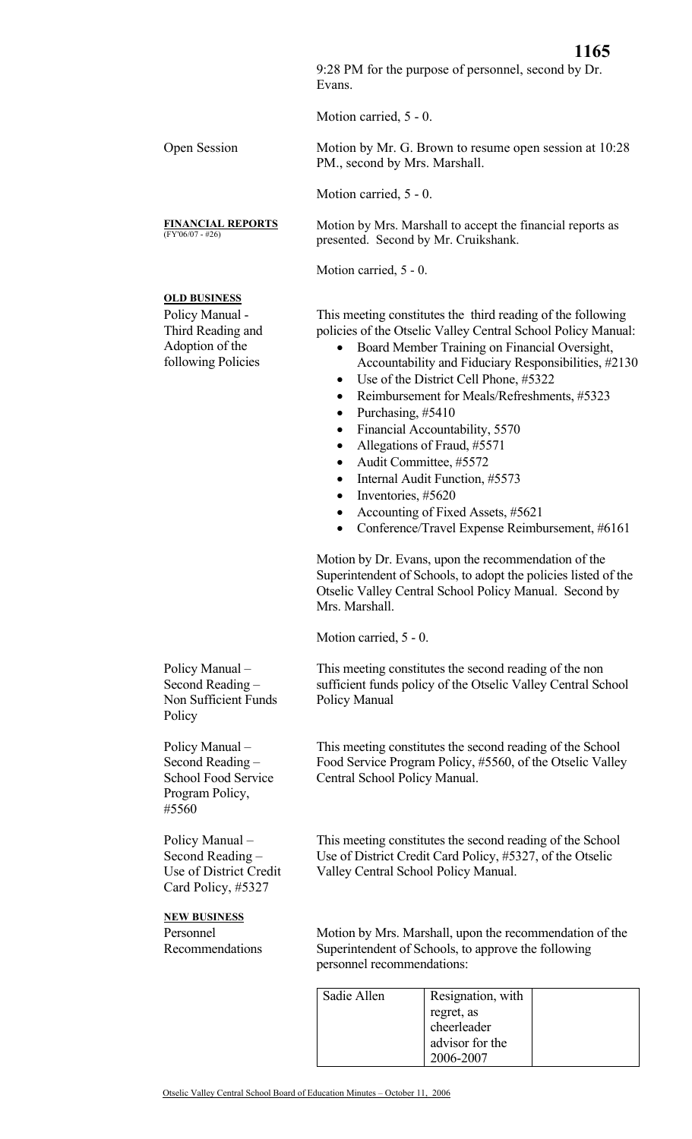9:28 PM for the purpose of personnel, second by Dr. Evans.

Motion carried, 5 - 0.

Open Session Motion by Mr. G. Brown to resume open session at 10:28 PM., second by Mrs. Marshall.

Motion carried, 5 - 0.

Motion by Mrs. Marshall to accept the financial reports as presented. Second by Mr. Cruikshank.

Motion carried, 5 - 0.

## **OLD BUSINESS**

Policy Manual - Third Reading and Adoption of the following Policies

**FINANCIAL REPORTS**

This meeting constitutes the third reading of the following policies of the Otselic Valley Central School Policy Manual:

- Board Member Training on Financial Oversight,
	- Accountability and Fiduciary Responsibilities, #2130 Use of the District Cell Phone, #5322
- Reimbursement for Meals/Refreshments, #5323
- Purchasing, #5410
- Financial Accountability, 5570
- Allegations of Fraud, #5571
- Audit Committee, #5572
- Internal Audit Function, #5573
- Inventories, #5620
- Accounting of Fixed Assets, #5621
- Conference/Travel Expense Reimbursement, #6161

Motion by Dr. Evans, upon the recommendation of the Superintendent of Schools, to adopt the policies listed of the Otselic Valley Central School Policy Manual. Second by Mrs. Marshall.

Motion carried, 5 - 0.

This meeting constitutes the second reading of the non sufficient funds policy of the Otselic Valley Central School Policy Manual

This meeting constitutes the second reading of the School Food Service Program Policy, #5560, of the Otselic Valley Central School Policy Manual.

This meeting constitutes the second reading of the School Use of District Credit Card Policy, #5327, of the Otselic Valley Central School Policy Manual.

Motion by Mrs. Marshall, upon the recommendation of the Superintendent of Schools, to approve the following personnel recommendations:

| Sadie Allen | Resignation, with |  |
|-------------|-------------------|--|
|             | regret, as        |  |
|             | cheerleader       |  |
|             | advisor for the   |  |
|             | 2006-2007         |  |

Policy Manual – Second Reading – Non Sufficient Funds **Policy** 

Policy Manual – Second Reading – School Food Service Program Policy, #5560

Policy Manual – Second Reading – Use of District Credit Card Policy, #5327

**NEW BUSINESS** Personnel

Recommendations

Otselic Valley Central School Board of Education Minutes – October 11, 2006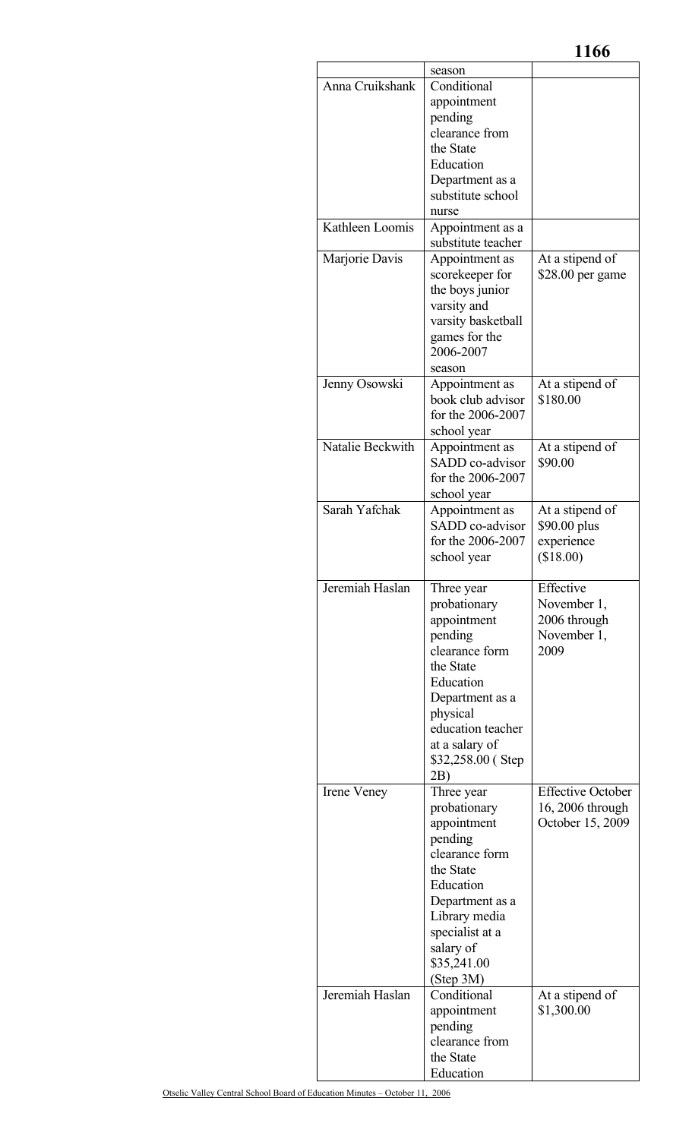|                  | season                              |                          |
|------------------|-------------------------------------|--------------------------|
| Anna Cruikshank  | Conditional                         |                          |
|                  | appointment                         |                          |
|                  | pending                             |                          |
|                  | clearance from<br>the State         |                          |
|                  | Education                           |                          |
|                  | Department as a                     |                          |
|                  | substitute school                   |                          |
|                  | nurse                               |                          |
| Kathleen Loomis  | Appointment as a                    |                          |
|                  | substitute teacher                  |                          |
| Marjorie Davis   | Appointment as                      | At a stipend of          |
|                  | scorekeeper for                     | \$28.00 per game         |
|                  | the boys junior                     |                          |
|                  | varsity and                         |                          |
|                  | varsity basketball                  |                          |
|                  | games for the                       |                          |
|                  | 2006-2007                           |                          |
| Jenny Osowski    | season<br>Appointment as            | At a stipend of          |
|                  | book club advisor                   | \$180.00                 |
|                  | for the 2006-2007                   |                          |
|                  | school year                         |                          |
| Natalie Beckwith | Appointment as                      | At a stipend of          |
|                  | SADD co-advisor                     | \$90.00                  |
|                  | for the 2006-2007                   |                          |
|                  | school year                         |                          |
| Sarah Yafchak    | Appointment as                      | At a stipend of          |
|                  | SADD co-advisor                     | \$90.00 plus             |
|                  | for the 2006-2007                   | experience               |
|                  | school year                         | (\$18.00)                |
| Jeremiah Haslan  | Three year                          | Effective                |
|                  | probationary                        | November 1,              |
|                  | appointment                         | 2006 through             |
|                  | pending                             | November 1,              |
|                  | clearance form                      | 2009                     |
|                  | the State                           |                          |
|                  | Education                           |                          |
|                  | Department as a                     |                          |
|                  | physical                            |                          |
|                  | education teacher                   |                          |
|                  | at a salary of<br>\$32,258.00 (Step |                          |
|                  | 2B)                                 |                          |
| Irene Veney      | Three year                          | <b>Effective October</b> |
|                  | probationary                        | 16, 2006 through         |
|                  | appointment                         | October 15, 2009         |
|                  | pending                             |                          |
|                  | clearance form                      |                          |
|                  | the State                           |                          |
|                  |                                     |                          |
|                  | Education                           |                          |
|                  | Department as a                     |                          |
|                  | Library media                       |                          |
|                  | specialist at a                     |                          |
|                  | salary of                           |                          |
|                  | \$35,241.00<br>(Step 3M)            |                          |
| Jeremiah Haslan  | Conditional                         | At a stipend of          |
|                  | appointment                         | \$1,300.00               |
|                  | pending                             |                          |
|                  | clearance from                      |                          |
|                  | the State<br>Education              |                          |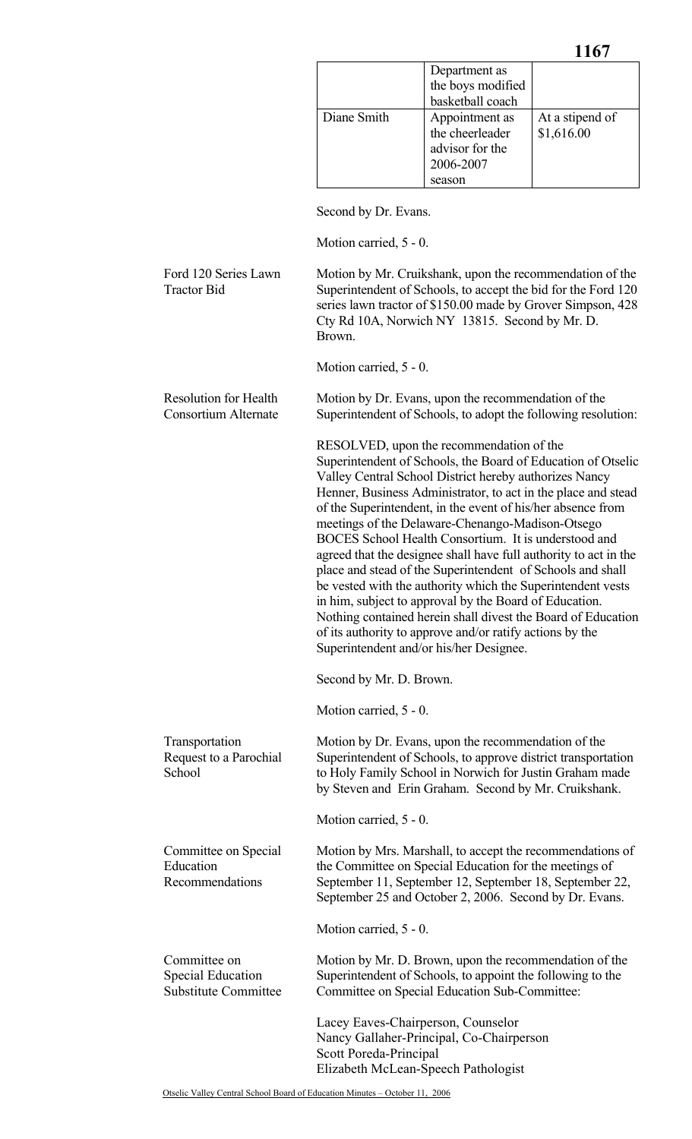|             | Department as<br>the boys modified<br>basketball coach                      |                               |
|-------------|-----------------------------------------------------------------------------|-------------------------------|
| Diane Smith | Appointment as<br>the cheerleader<br>advisor for the<br>2006-2007<br>season | At a stipend of<br>\$1,616.00 |

Second by Dr. Evans.

Motion carried, 5 - 0.

Ford 120 Series Lawn Tractor Bid Motion by Mr. Cruikshank, upon the recommendation of the Superintendent of Schools, to accept the bid for the Ford 120 series lawn tractor of \$150.00 made by Grover Simpson, 428 Cty Rd 10A, Norwich NY 13815. Second by Mr. D. Brown. Motion carried, 5 - 0. Resolution for Health Consortium Alternate Motion by Dr. Evans, upon the recommendation of the Superintendent of Schools, to adopt the following resolution: RESOLVED, upon the recommendation of the Superintendent of Schools, the Board of Education of Otselic Valley Central School District hereby authorizes Nancy Henner, Business Administrator, to act in the place and stead of the Superintendent, in the event of his/her absence from meetings of the Delaware-Chenango-Madison-Otsego BOCES School Health Consortium. It is understood and agreed that the designee shall have full authority to act in the place and stead of the Superintendent of Schools and shall be vested with the authority which the Superintendent vests in him, subject to approval by the Board of Education. Nothing contained herein shall divest the Board of Education of its authority to approve and/or ratify actions by the Superintendent and/or his/her Designee. Second by Mr. D. Brown. Motion carried, 5 - 0. Transportation Request to a Parochial **School** Motion by Dr. Evans, upon the recommendation of the Superintendent of Schools, to approve district transportation to Holy Family School in Norwich for Justin Graham made by Steven and Erin Graham. Second by Mr. Cruikshank. Motion carried, 5 - 0. Committee on Special Education Recommendations Motion by Mrs. Marshall, to accept the recommendations of the Committee on Special Education for the meetings of September 11, September 12, September 18, September 22, September 25 and October 2, 2006. Second by Dr. Evans. Motion carried, 5 - 0. Committee on Special Education Substitute Committee Motion by Mr. D. Brown, upon the recommendation of the Superintendent of Schools, to appoint the following to the Committee on Special Education Sub-Committee: Lacey Eaves-Chairperson, Counselor Nancy Gallaher-Principal, Co-Chairperson Scott Poreda-Principal Elizabeth McLean-Speech Pathologist